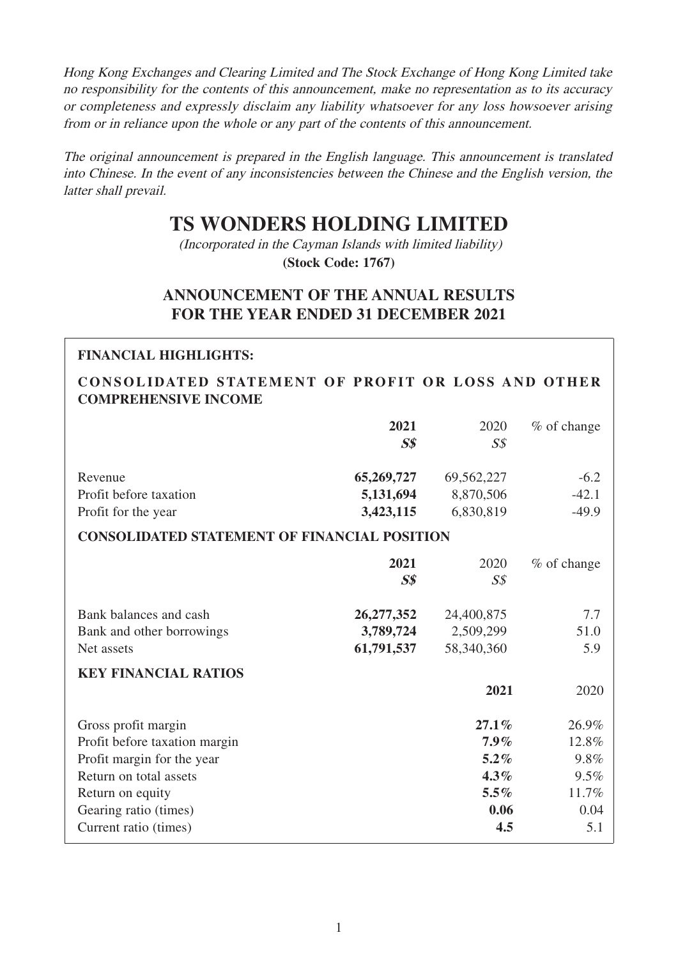Hong Kong Exchanges and Clearing Limited and The Stock Exchange of Hong Kong Limited take no responsibility for the contents of this announcement, make no representation as to its accuracy or completeness and expressly disclaim any liability whatsoever for any loss howsoever arising from or in reliance upon the whole or any part of the contents of this announcement.

The original announcement is prepared in the English language. This announcement is translated into Chinese. In the event of any inconsistencies between the Chinese and the English version, the latter shall prevail.

# **TS WONDERS HOLDING LIMITED**

(Incorporated in the Cayman Islands with limited liability) **(Stock Code: 1767)**

# **ANNOUNCEMENT OF THE ANNUAL RESULTS FOR THE YEAR ENDED 31 DECEMBER 2021**

# **FINANCIAL HIGHLIGHTS:**

## **CONSOLIDATED STATEMENT OF PROFIT OR LOSS AND OTHER COMPREHENSIVE INCOME**

|                                                     | 2021<br>$S\$ | 2020<br>$S\mathcal{S}$ | % of change |
|-----------------------------------------------------|--------------|------------------------|-------------|
| Revenue                                             | 65,269,727   | 69,562,227             | $-6.2$      |
| Profit before taxation                              | 5,131,694    | 8,870,506              | $-42.1$     |
| Profit for the year                                 | 3,423,115    | 6,830,819              | $-49.9$     |
| <b>CONSOLIDATED STATEMENT OF FINANCIAL POSITION</b> |              |                        |             |
|                                                     | 2021         | 2020                   | % of change |
|                                                     | $S\$         | $S\mathcal{S}$         |             |
| Bank balances and cash                              | 26, 277, 352 | 24,400,875             | 7.7         |
| Bank and other borrowings                           | 3,789,724    | 2,509,299              | 51.0        |
| Net assets                                          | 61,791,537   | 58,340,360             | 5.9         |
| <b>KEY FINANCIAL RATIOS</b>                         |              |                        |             |
|                                                     |              | 2021                   | 2020        |
| Gross profit margin                                 |              | $27.1\%$               | 26.9%       |
| Profit before taxation margin                       |              | $7.9\%$                | 12.8%       |
| Profit margin for the year                          |              | $5.2\%$                | 9.8%        |
| Return on total assets                              |              | $4.3\%$                | 9.5%        |
| Return on equity                                    |              | $5.5\%$                | 11.7%       |
| Gearing ratio (times)                               |              | 0.06                   | 0.04        |
| Current ratio (times)                               |              | 4.5                    | 5.1         |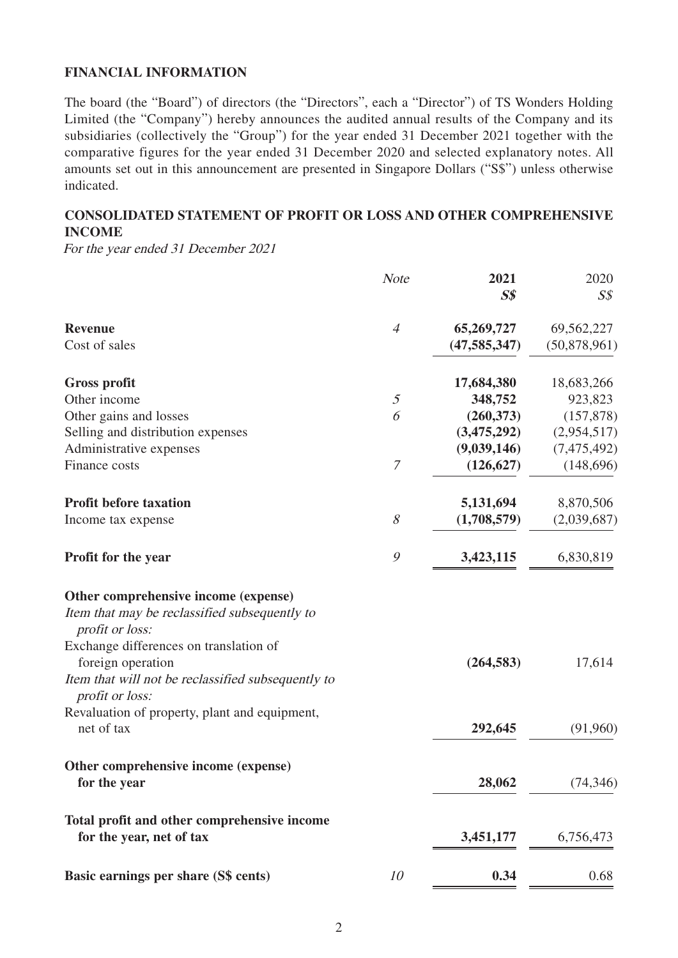#### **FINANCIAL INFORMATION**

The board (the "Board") of directors (the "Directors", each a "Director") of TS Wonders Holding Limited (the "Company") hereby announces the audited annual results of the Company and its subsidiaries (collectively the "Group") for the year ended 31 December 2021 together with the comparative figures for the year ended 31 December 2020 and selected explanatory notes. All amounts set out in this announcement are presented in Singapore Dollars ("S\$") unless otherwise indicated.

### **CONSOLIDATED STATEMENT OF PROFIT OR LOSS AND OTHER COMPREHENSIVE INCOME**

For the year ended 31 December 2021

|                                                                       | <b>Note</b>    | 2021           | 2020           |
|-----------------------------------------------------------------------|----------------|----------------|----------------|
|                                                                       |                | S <sub>s</sub> | $S\mathcal{S}$ |
| <b>Revenue</b>                                                        | $\overline{4}$ | 65,269,727     | 69,562,227     |
| Cost of sales                                                         |                | (47, 585, 347) | (50,878,961)   |
| <b>Gross profit</b>                                                   |                | 17,684,380     | 18,683,266     |
| Other income                                                          | $\mathfrak{I}$ | 348,752        | 923,823        |
| Other gains and losses                                                | 6              | (260, 373)     | (157, 878)     |
| Selling and distribution expenses                                     |                | (3,475,292)    | (2,954,517)    |
| Administrative expenses                                               |                | (9,039,146)    | (7,475,492)    |
| Finance costs                                                         | 7              | (126, 627)     | (148, 696)     |
| <b>Profit before taxation</b>                                         |                | 5,131,694      | 8,870,506      |
| Income tax expense                                                    | 8              | (1,708,579)    | (2,039,687)    |
| Profit for the year                                                   | $\mathcal{G}$  | 3,423,115      | 6,830,819      |
| Other comprehensive income (expense)                                  |                |                |                |
| Item that may be reclassified subsequently to<br>profit or loss:      |                |                |                |
| Exchange differences on translation of<br>foreign operation           |                | (264, 583)     | 17,614         |
| Item that will not be reclassified subsequently to<br>profit or loss: |                |                |                |
| Revaluation of property, plant and equipment,                         |                |                |                |
| net of tax                                                            |                | 292,645        | (91,960)       |
| Other comprehensive income (expense)                                  |                |                |                |
| for the year                                                          |                | 28,062         | (74, 346)      |
| Total profit and other comprehensive income                           |                |                |                |
| for the year, net of tax                                              |                | 3,451,177      | 6,756,473      |
| Basic earnings per share (S\$ cents)                                  | 10             | 0.34           | 0.68           |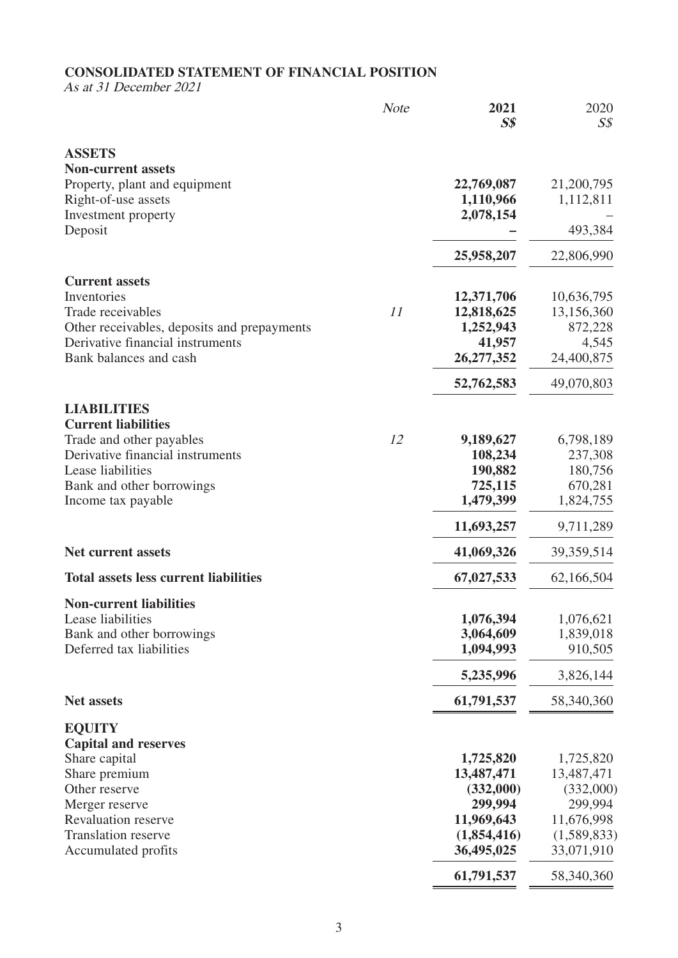# **CONSOLIDATED STATEMENT OF FINANCIAL POSITION**

As at 31 December 2021

|                                                                                 | <b>Note</b> | 2021<br>S <sub>s</sub>  | 2020<br>$S\mathcal{S}$  |
|---------------------------------------------------------------------------------|-------------|-------------------------|-------------------------|
| <b>ASSETS</b>                                                                   |             |                         |                         |
| <b>Non-current assets</b>                                                       |             | 22,769,087              | 21,200,795              |
| Property, plant and equipment<br>Right-of-use assets                            |             | 1,110,966               | 1,112,811               |
| Investment property                                                             |             | 2,078,154               |                         |
| Deposit                                                                         |             |                         | 493,384                 |
|                                                                                 |             | 25,958,207              | 22,806,990              |
| <b>Current assets</b>                                                           |             |                         |                         |
| Inventories                                                                     |             | 12,371,706              | 10,636,795              |
| Trade receivables                                                               | 11          | 12,818,625              | 13,156,360              |
| Other receivables, deposits and prepayments<br>Derivative financial instruments |             | 1,252,943               | 872,228                 |
| Bank balances and cash                                                          |             | 41,957<br>26, 277, 352  | 4,545<br>24,400,875     |
|                                                                                 |             |                         |                         |
|                                                                                 |             | 52,762,583              | 49,070,803              |
| <b>LIABILITIES</b><br><b>Current liabilities</b>                                |             |                         |                         |
| Trade and other payables                                                        | 12          | 9,189,627               | 6,798,189               |
| Derivative financial instruments                                                |             | 108,234                 | 237,308                 |
| Lease liabilities                                                               |             | 190,882                 | 180,756                 |
| Bank and other borrowings                                                       |             | 725,115                 | 670,281                 |
| Income tax payable                                                              |             | 1,479,399               | 1,824,755               |
|                                                                                 |             | 11,693,257              | 9,711,289               |
| <b>Net current assets</b>                                                       |             | 41,069,326              | 39,359,514              |
| <b>Total assets less current liabilities</b>                                    |             | 67,027,533              | 62,166,504              |
| <b>Non-current liabilities</b>                                                  |             |                         |                         |
| Lease liabilities                                                               |             | 1,076,394               | 1,076,621               |
| Bank and other borrowings                                                       |             | 3,064,609               | 1,839,018               |
| Deferred tax liabilities                                                        |             | 1,094,993               | 910,505                 |
|                                                                                 |             | 5,235,996               | 3,826,144               |
| <b>Net assets</b>                                                               |             | 61,791,537              | 58,340,360              |
| <b>EQUITY</b>                                                                   |             |                         |                         |
| <b>Capital and reserves</b>                                                     |             |                         |                         |
| Share capital<br>Share premium                                                  |             | 1,725,820<br>13,487,471 | 1,725,820<br>13,487,471 |
| Other reserve                                                                   |             | (332,000)               | (332,000)               |
| Merger reserve                                                                  |             | 299,994                 | 299,994                 |
| Revaluation reserve                                                             |             | 11,969,643              | 11,676,998              |
| <b>Translation reserve</b>                                                      |             | (1,854,416)             | (1,589,833)             |
| Accumulated profits                                                             |             | 36,495,025              | 33,071,910              |
|                                                                                 |             | 61,791,537              | 58,340,360              |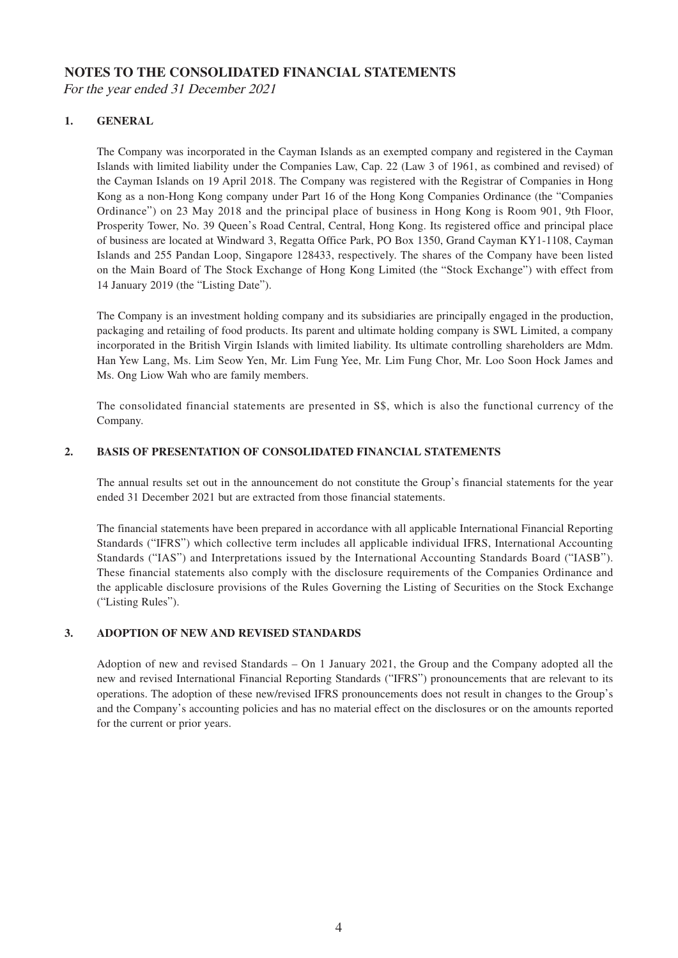#### **NOTES TO THE CONSOLIDATED FINANCIAL STATEMENTS**

For the year ended 31 December 2021

#### **1. GENERAL**

The Company was incorporated in the Cayman Islands as an exempted company and registered in the Cayman Islands with limited liability under the Companies Law, Cap. 22 (Law 3 of 1961, as combined and revised) of the Cayman Islands on 19 April 2018. The Company was registered with the Registrar of Companies in Hong Kong as a non-Hong Kong company under Part 16 of the Hong Kong Companies Ordinance (the "Companies Ordinance") on 23 May 2018 and the principal place of business in Hong Kong is Room 901, 9th Floor, Prosperity Tower, No. 39 Queen's Road Central, Central, Hong Kong. Its registered office and principal place of business are located at Windward 3, Regatta Office Park, PO Box 1350, Grand Cayman KY1-1108, Cayman Islands and 255 Pandan Loop, Singapore 128433, respectively. The shares of the Company have been listed on the Main Board of The Stock Exchange of Hong Kong Limited (the "Stock Exchange") with effect from 14 January 2019 (the "Listing Date").

The Company is an investment holding company and its subsidiaries are principally engaged in the production, packaging and retailing of food products. Its parent and ultimate holding company is SWL Limited, a company incorporated in the British Virgin Islands with limited liability. Its ultimate controlling shareholders are Mdm. Han Yew Lang, Ms. Lim Seow Yen, Mr. Lim Fung Yee, Mr. Lim Fung Chor, Mr. Loo Soon Hock James and Ms. Ong Liow Wah who are family members.

The consolidated financial statements are presented in S\$, which is also the functional currency of the Company.

#### **2. BASIS OF PRESENTATION OF CONSOLIDATED FINANCIAL STATEMENTS**

The annual results set out in the announcement do not constitute the Group's financial statements for the year ended 31 December 2021 but are extracted from those financial statements.

The financial statements have been prepared in accordance with all applicable International Financial Reporting Standards ("IFRS") which collective term includes all applicable individual IFRS, International Accounting Standards ("IAS") and Interpretations issued by the International Accounting Standards Board ("IASB"). These financial statements also comply with the disclosure requirements of the Companies Ordinance and the applicable disclosure provisions of the Rules Governing the Listing of Securities on the Stock Exchange ("Listing Rules").

#### **3. ADOPTION OF NEW AND REVISED STANDARDS**

Adoption of new and revised Standards – On 1 January 2021, the Group and the Company adopted all the new and revised International Financial Reporting Standards ("IFRS") pronouncements that are relevant to its operations. The adoption of these new/revised IFRS pronouncements does not result in changes to the Group's and the Company's accounting policies and has no material effect on the disclosures or on the amounts reported for the current or prior years.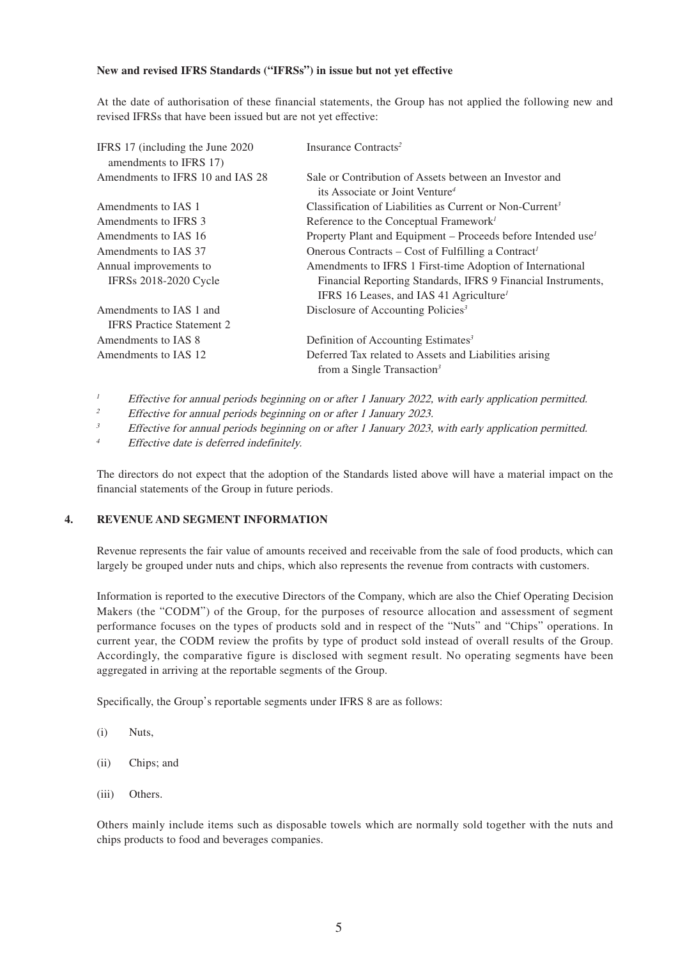#### **New and revised IFRS Standards ("IFRSs") in issue but not yet effective**

At the date of authorisation of these financial statements, the Group has not applied the following new and revised IFRSs that have been issued but are not yet effective:

| Property Plant and Equipment – Proceeds before Intended use <sup>1</sup> |
|--------------------------------------------------------------------------|
|                                                                          |
|                                                                          |
| Financial Reporting Standards, IFRS 9 Financial Instruments,             |
|                                                                          |
|                                                                          |
|                                                                          |
|                                                                          |
|                                                                          |
|                                                                          |

<sup>1</sup> Effective for annual periods beginning on or after 1 January 2022, with early application permitted.

<sup>2</sup> Effective for annual periods beginning on or after 1 January 2023.

<sup>3</sup> Effective for annual periods beginning on or after 1 January 2023, with early application permitted.

<sup>4</sup> Effective date is deferred indefinitely.

The directors do not expect that the adoption of the Standards listed above will have a material impact on the financial statements of the Group in future periods.

#### **4. REVENUE AND SEGMENT INFORMATION**

Revenue represents the fair value of amounts received and receivable from the sale of food products, which can largely be grouped under nuts and chips, which also represents the revenue from contracts with customers.

Information is reported to the executive Directors of the Company, which are also the Chief Operating Decision Makers (the "CODM") of the Group, for the purposes of resource allocation and assessment of segment performance focuses on the types of products sold and in respect of the "Nuts" and "Chips" operations. In current year, the CODM review the profits by type of product sold instead of overall results of the Group. Accordingly, the comparative figure is disclosed with segment result. No operating segments have been aggregated in arriving at the reportable segments of the Group.

Specifically, the Group's reportable segments under IFRS 8 are as follows:

- (i) Nuts,
- (ii) Chips; and
- (iii) Others.

Others mainly include items such as disposable towels which are normally sold together with the nuts and chips products to food and beverages companies.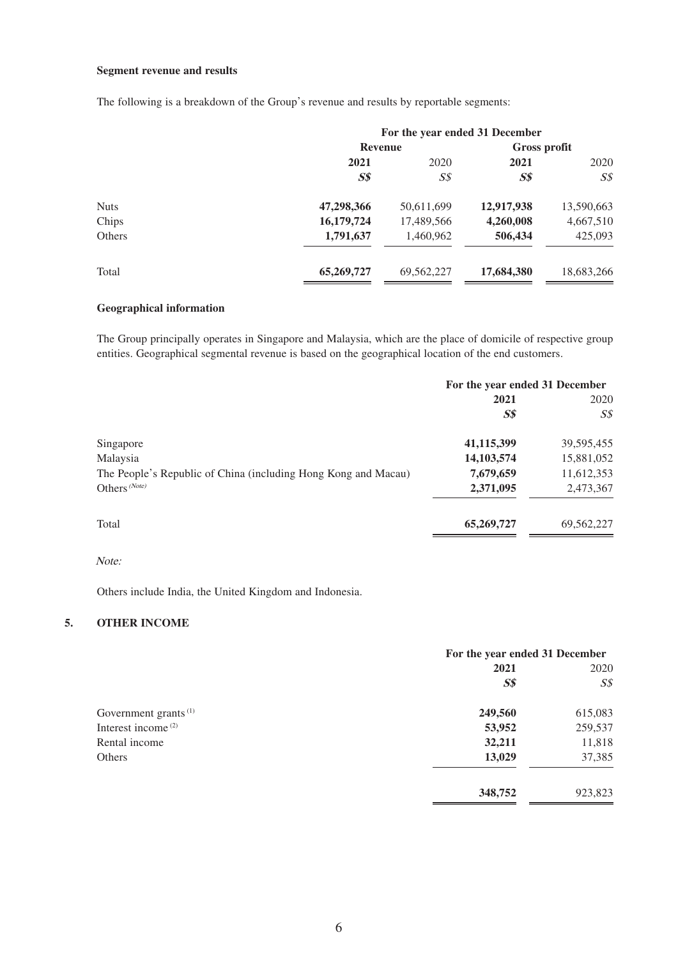#### **Segment revenue and results**

The following is a breakdown of the Group's revenue and results by reportable segments:

|             | For the year ended 31 December |                |              |            |
|-------------|--------------------------------|----------------|--------------|------------|
|             | <b>Revenue</b>                 |                | Gross profit |            |
|             | 2021                           | 2020           | 2021         | 2020       |
|             | $S\$$                          | $S\mathcal{S}$ | $S\$         | S\$        |
| <b>Nuts</b> | 47,298,366                     | 50,611,699     | 12,917,938   | 13,590,663 |
| Chips       | 16,179,724                     | 17,489,566     | 4,260,008    | 4,667,510  |
| Others      | 1,791,637                      | 1,460,962      | 506,434      | 425,093    |
| Total       | 65,269,727                     | 69,562,227     | 17,684,380   | 18,683,266 |

#### **Geographical information**

The Group principally operates in Singapore and Malaysia, which are the place of domicile of respective group entities. Geographical segmental revenue is based on the geographical location of the end customers.

|                                                                | For the year ended 31 December |                |
|----------------------------------------------------------------|--------------------------------|----------------|
|                                                                | 2021                           | 2020           |
|                                                                | $S\$                           | $S\mathcal{S}$ |
| Singapore                                                      | 41,115,399                     | 39,595,455     |
| Malaysia                                                       | 14, 103, 574                   | 15,881,052     |
| The People's Republic of China (including Hong Kong and Macau) | 7,679,659                      | 11,612,353     |
| Others <sup>(Note)</sup>                                       | 2,371,095                      | 2,473,367      |
| Total                                                          | 65,269,727                     | 69,562,227     |

#### Note:

Others include India, the United Kingdom and Indonesia.

#### **5. OTHER INCOME**

|                                  | For the year ended 31 December |                |
|----------------------------------|--------------------------------|----------------|
|                                  | 2021                           | 2020           |
|                                  | S <sub>s</sub>                 | $S\mathcal{S}$ |
| Government grants <sup>(1)</sup> | 249,560                        | 615,083        |
| Interest income <sup>(2)</sup>   | 53,952                         | 259,537        |
| Rental income                    | 32,211                         | 11,818         |
| Others                           | 13,029                         | 37,385         |
|                                  | 348,752                        | 923,823        |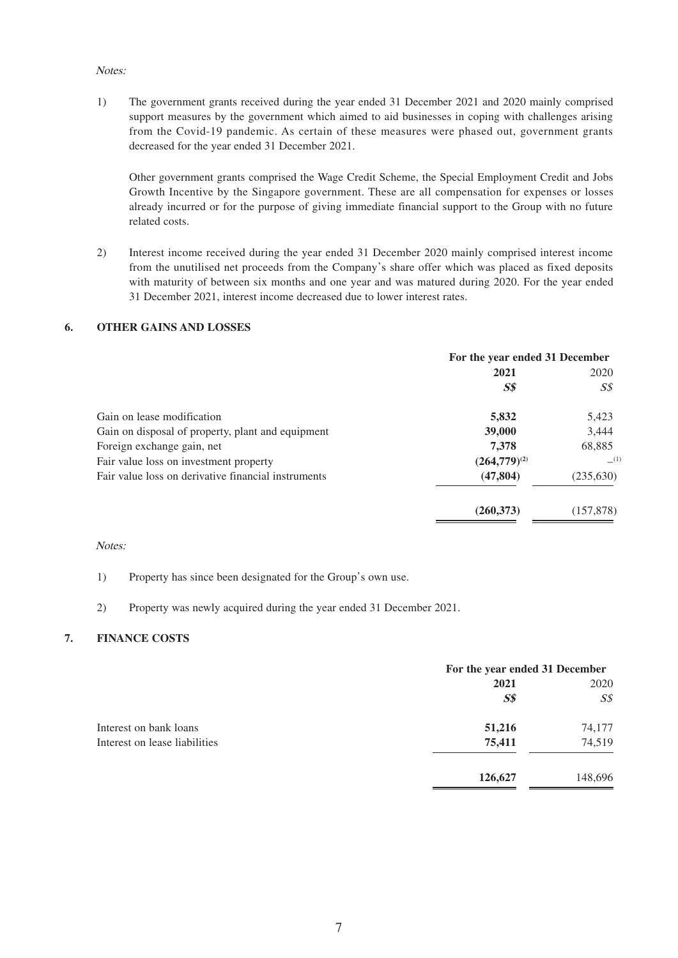#### Notes:

1) The government grants received during the year ended 31 December 2021 and 2020 mainly comprised support measures by the government which aimed to aid businesses in coping with challenges arising from the Covid-19 pandemic. As certain of these measures were phased out, government grants decreased for the year ended 31 December 2021.

Other government grants comprised the Wage Credit Scheme, the Special Employment Credit and Jobs Growth Incentive by the Singapore government. These are all compensation for expenses or losses already incurred or for the purpose of giving immediate financial support to the Group with no future related costs.

2) Interest income received during the year ended 31 December 2020 mainly comprised interest income from the unutilised net proceeds from the Company's share offer which was placed as fixed deposits with maturity of between six months and one year and was matured during 2020. For the year ended 31 December 2021, interest income decreased due to lower interest rates.

#### **6. OTHER GAINS AND LOSSES**

|                                                     | For the year ended 31 December |            |
|-----------------------------------------------------|--------------------------------|------------|
|                                                     | 2021                           | 2020       |
|                                                     | S <sub>s</sub>                 | S\$        |
| Gain on lease modification                          | 5,832                          | 5,423      |
| Gain on disposal of property, plant and equipment   | 39,000                         | 3,444      |
| Foreign exchange gain, net                          | 7,378                          | 68,885     |
| Fair value loss on investment property              | $(264,779)^{(2)}$              | (1)        |
| Fair value loss on derivative financial instruments | (47, 804)                      | (235, 630) |
|                                                     | (260, 373)                     | (157, 878) |

#### Notes:

#### 1) Property has since been designated for the Group's own use.

#### 2) Property was newly acquired during the year ended 31 December 2021.

#### **7. FINANCE COSTS**

|                               |         | For the year ended 31 December |  |
|-------------------------------|---------|--------------------------------|--|
|                               | 2021    | 2020                           |  |
|                               | $S\$    | $S\mathcal{S}$                 |  |
| Interest on bank loans        | 51,216  | 74,177                         |  |
| Interest on lease liabilities | 75,411  | 74,519                         |  |
|                               | 126,627 | 148,696                        |  |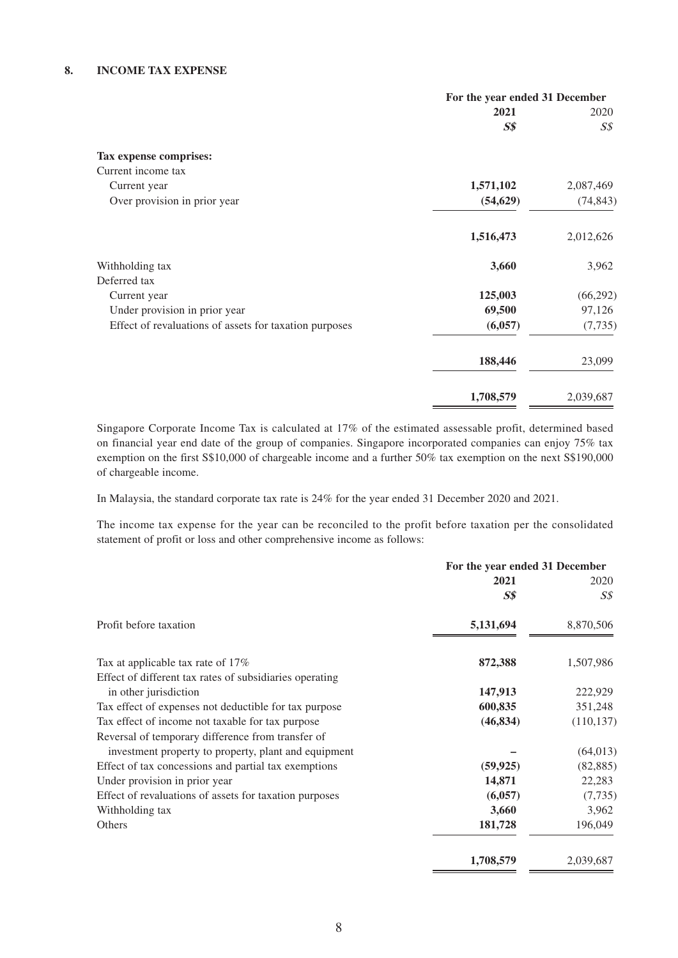#### **8. INCOME TAX EXPENSE**

|                                                        | For the year ended 31 December |                |
|--------------------------------------------------------|--------------------------------|----------------|
|                                                        | 2021                           | 2020           |
|                                                        | $S\$                           | $S\mathcal{S}$ |
| Tax expense comprises:                                 |                                |                |
| Current income tax                                     |                                |                |
| Current year                                           | 1,571,102                      | 2,087,469      |
| Over provision in prior year                           | (54, 629)                      | (74, 843)      |
|                                                        | 1,516,473                      | 2,012,626      |
| Withholding tax                                        | 3,660                          | 3,962          |
| Deferred tax                                           |                                |                |
| Current year                                           | 125,003                        | (66, 292)      |
| Under provision in prior year                          | 69,500                         | 97,126         |
| Effect of revaluations of assets for taxation purposes | (6,057)                        | (7, 735)       |
|                                                        | 188,446                        | 23,099         |
|                                                        | 1,708,579                      | 2,039,687      |

Singapore Corporate Income Tax is calculated at 17% of the estimated assessable profit, determined based on financial year end date of the group of companies. Singapore incorporated companies can enjoy 75% tax exemption on the first S\$10,000 of chargeable income and a further 50% tax exemption on the next S\$190,000 of chargeable income.

In Malaysia, the standard corporate tax rate is 24% for the year ended 31 December 2020 and 2021.

The income tax expense for the year can be reconciled to the profit before taxation per the consolidated statement of profit or loss and other comprehensive income as follows:

|                                                         | For the year ended 31 December |            |
|---------------------------------------------------------|--------------------------------|------------|
|                                                         | 2021                           | 2020       |
|                                                         | $S\$                           | S\$        |
| Profit before taxation                                  | 5,131,694                      | 8,870,506  |
| Tax at applicable tax rate of 17%                       | 872,388                        | 1,507,986  |
| Effect of different tax rates of subsidiaries operating |                                |            |
| in other jurisdiction                                   | 147,913                        | 222,929    |
| Tax effect of expenses not deductible for tax purpose   | 600,835                        | 351,248    |
| Tax effect of income not taxable for tax purpose        | (46, 834)                      | (110, 137) |
| Reversal of temporary difference from transfer of       |                                |            |
| investment property to property, plant and equipment    |                                | (64, 013)  |
| Effect of tax concessions and partial tax exemptions    | (59, 925)                      | (82, 885)  |
| Under provision in prior year                           | 14,871                         | 22,283     |
| Effect of revaluations of assets for taxation purposes  | (6,057)                        | (7, 735)   |
| Withholding tax                                         | 3,660                          | 3,962      |
| Others                                                  | 181,728                        | 196,049    |
|                                                         | 1,708,579                      | 2,039,687  |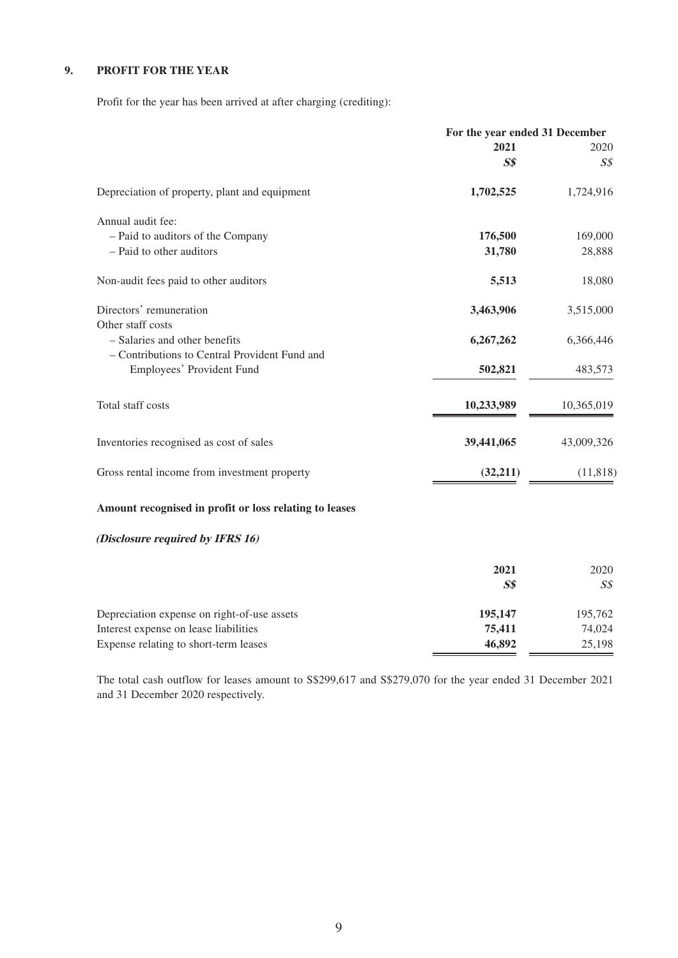#### **9. PROFIT FOR THE YEAR**

Profit for the year has been arrived at after charging (crediting):

|                                                        | For the year ended 31 December |                |
|--------------------------------------------------------|--------------------------------|----------------|
|                                                        | 2021                           | 2020           |
|                                                        | S <sub>s</sub>                 | S <sub>S</sub> |
| Depreciation of property, plant and equipment          | 1,702,525                      | 1,724,916      |
| Annual audit fee:                                      |                                |                |
| - Paid to auditors of the Company                      | 176,500                        | 169,000        |
| - Paid to other auditors                               | 31,780                         | 28,888         |
| Non-audit fees paid to other auditors                  | 5,513                          | 18,080         |
| Directors' remuneration                                | 3,463,906                      | 3,515,000      |
| Other staff costs                                      |                                |                |
| - Salaries and other benefits                          | 6,267,262                      | 6,366,446      |
| - Contributions to Central Provident Fund and          |                                |                |
| Employees' Provident Fund                              | 502,821                        | 483,573        |
| Total staff costs                                      | 10,233,989                     | 10,365,019     |
| Inventories recognised as cost of sales                | 39,441,065                     | 43,009,326     |
| Gross rental income from investment property           | (32,211)                       | (11, 818)      |
| Amount recognised in profit or loss relating to leases |                                |                |

#### **(Disclosure required by IFRS 16)**

|                                             | 2021<br>$S\$ | 2020<br>S\$ |
|---------------------------------------------|--------------|-------------|
| Depreciation expense on right-of-use assets | 195,147      | 195,762     |
| Interest expense on lease liabilities       | 75,411       | 74.024      |
| Expense relating to short-term leases       | 46,892       | 25,198      |

The total cash outflow for leases amount to S\$299,617 and S\$279,070 for the year ended 31 December 2021 and 31 December 2020 respectively.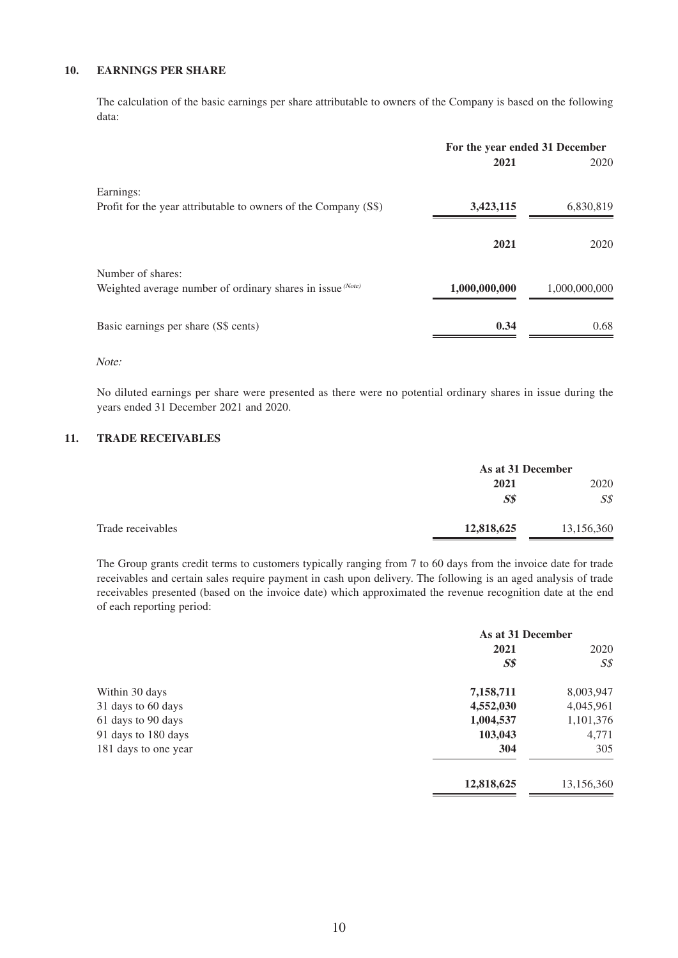#### **10. EARNINGS PER SHARE**

The calculation of the basic earnings per share attributable to owners of the Company is based on the following data:

|                                                                 | For the year ended 31 December |               |
|-----------------------------------------------------------------|--------------------------------|---------------|
|                                                                 | 2021                           | 2020          |
| Earnings:                                                       |                                |               |
| Profit for the year attributable to owners of the Company (S\$) | 3,423,115                      | 6,830,819     |
|                                                                 | 2021                           | 2020          |
| Number of shares:                                               |                                |               |
| Weighted average number of ordinary shares in issue (Note)      | 1,000,000,000                  | 1,000,000,000 |
| Basic earnings per share (S\$ cents)                            | 0.34                           | 0.68          |
|                                                                 |                                |               |

#### Note:

No diluted earnings per share were presented as there were no potential ordinary shares in issue during the years ended 31 December 2021 and 2020.

#### **11. TRADE RECEIVABLES**

|                   |            | As at 31 December |  |
|-------------------|------------|-------------------|--|
|                   | 2021       | 2020              |  |
|                   | $S\$       | $S\mathcal{S}$    |  |
| Trade receivables | 12,818,625 | 13,156,360        |  |

The Group grants credit terms to customers typically ranging from 7 to 60 days from the invoice date for trade receivables and certain sales require payment in cash upon delivery. The following is an aged analysis of trade receivables presented (based on the invoice date) which approximated the revenue recognition date at the end of each reporting period:

|                      | As at 31 December |                |  |
|----------------------|-------------------|----------------|--|
|                      | 2021              | 2020           |  |
|                      | S <sub>s</sub>    | $S\mathcal{S}$ |  |
| Within 30 days       | 7,158,711         | 8,003,947      |  |
| 31 days to 60 days   | 4,552,030         | 4,045,961      |  |
| 61 days to 90 days   | 1,004,537         | 1,101,376      |  |
| 91 days to 180 days  | 103,043           | 4,771          |  |
| 181 days to one year | 304               | 305            |  |
|                      | 12,818,625        | 13,156,360     |  |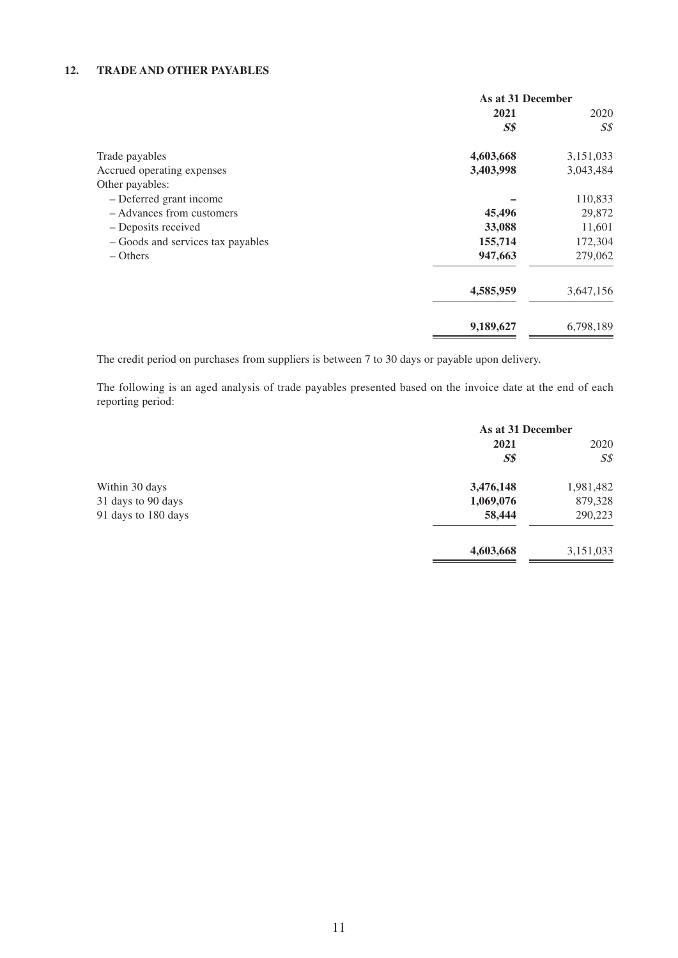#### **12. TRADE AND OTHER PAYABLES**

|                                   | As at 31 December |                |  |
|-----------------------------------|-------------------|----------------|--|
|                                   | 2021              | 2020           |  |
|                                   | S <sub>s</sub>    | $S\mathcal{S}$ |  |
| Trade payables                    | 4,603,668         | 3,151,033      |  |
| Accrued operating expenses        | 3,403,998         | 3,043,484      |  |
| Other payables:                   |                   |                |  |
| - Deferred grant income           |                   | 110,833        |  |
| - Advances from customers         | 45,496            | 29,872         |  |
| - Deposits received               | 33,088            | 11,601         |  |
| - Goods and services tax payables | 155,714           | 172,304        |  |
| $-$ Others                        | 947,663           | 279,062        |  |
|                                   | 4,585,959         | 3,647,156      |  |
|                                   | 9,189,627         | 6,798,189      |  |

The credit period on purchases from suppliers is between 7 to 30 days or payable upon delivery.

The following is an aged analysis of trade payables presented based on the invoice date at the end of each reporting period:

|                     | As at 31 December |                |
|---------------------|-------------------|----------------|
|                     | 2021              | 2020           |
|                     | S <sub>s</sub>    | $S\mathcal{S}$ |
| Within 30 days      | 3,476,148         | 1,981,482      |
| 31 days to 90 days  | 1,069,076         | 879,328        |
| 91 days to 180 days | 58,444            | 290,223        |
|                     | 4,603,668         | 3,151,033      |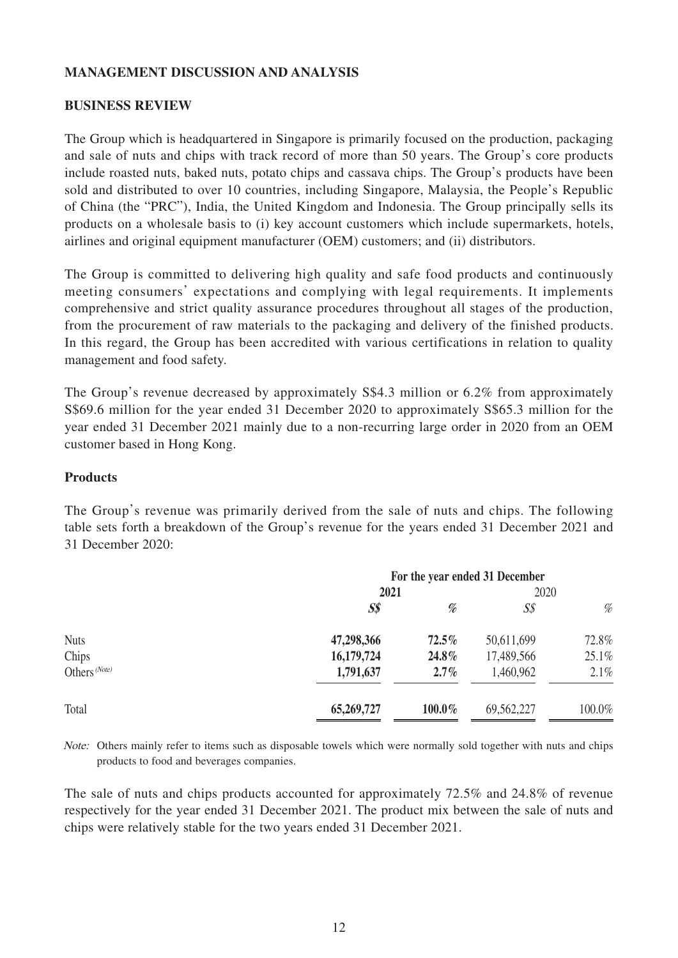#### **MANAGEMENT DISCUSSION AND ANALYSIS**

#### **BUSINESS REVIEW**

The Group which is headquartered in Singapore is primarily focused on the production, packaging and sale of nuts and chips with track record of more than 50 years. The Group's core products include roasted nuts, baked nuts, potato chips and cassava chips. The Group's products have been sold and distributed to over 10 countries, including Singapore, Malaysia, the People's Republic of China (the "PRC"), India, the United Kingdom and Indonesia. The Group principally sells its products on a wholesale basis to (i) key account customers which include supermarkets, hotels, airlines and original equipment manufacturer (OEM) customers; and (ii) distributors.

The Group is committed to delivering high quality and safe food products and continuously meeting consumers' expectations and complying with legal requirements. It implements comprehensive and strict quality assurance procedures throughout all stages of the production, from the procurement of raw materials to the packaging and delivery of the finished products. In this regard, the Group has been accredited with various certifications in relation to quality management and food safety.

The Group's revenue decreased by approximately S\$4.3 million or 6.2% from approximately S\$69.6 million for the year ended 31 December 2020 to approximately S\$65.3 million for the year ended 31 December 2021 mainly due to a non-recurring large order in 2020 from an OEM customer based in Hong Kong.

#### **Products**

The Group's revenue was primarily derived from the sale of nuts and chips. The following table sets forth a breakdown of the Group's revenue for the years ended 31 December 2021 and 31 December 2020:

| $S\$       | %         | $S\mathcal{S}$ | %                                      |
|------------|-----------|----------------|----------------------------------------|
| 47,298,366 | $72.5\%$  | 50,611,699     | 72.8%                                  |
| 16,179,724 | 24.8%     | 17,489,566     | 25.1%                                  |
| 1,791,637  | $2.7\%$   | 1,460,962      | 2.1%                                   |
| 65,269,727 | $100.0\%$ | 69,562,227     | 100.0%                                 |
|            | 2021      |                | For the year ended 31 December<br>2020 |

Note: Others mainly refer to items such as disposable towels which were normally sold together with nuts and chips products to food and beverages companies.

The sale of nuts and chips products accounted for approximately 72.5% and 24.8% of revenue respectively for the year ended 31 December 2021. The product mix between the sale of nuts and chips were relatively stable for the two years ended 31 December 2021.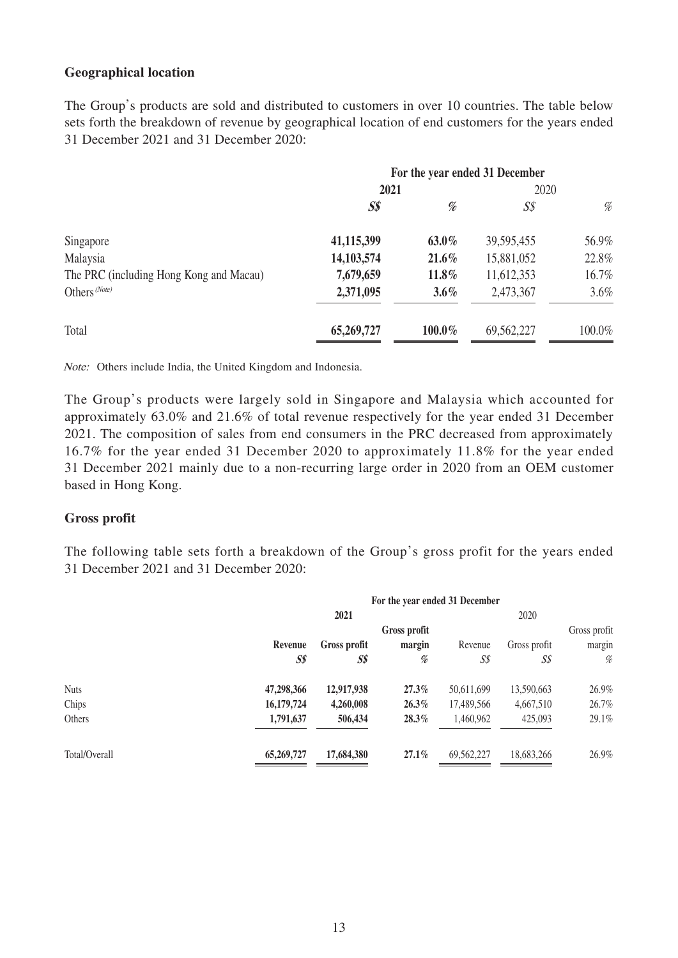#### **Geographical location**

The Group's products are sold and distributed to customers in over 10 countries. The table below sets forth the breakdown of revenue by geographical location of end customers for the years ended 31 December 2021 and 31 December 2020:

|                                         | For the year ended 31 December |          |                |        |
|-----------------------------------------|--------------------------------|----------|----------------|--------|
|                                         | 2021                           |          | 2020           |        |
|                                         | $S\$                           | %        | S <sub>S</sub> | %      |
| Singapore                               | 41,115,399                     | $63.0\%$ | 39, 595, 455   | 56.9%  |
| Malaysia                                | 14,103,574                     | $21.6\%$ | 15,881,052     | 22.8%  |
| The PRC (including Hong Kong and Macau) | 7,679,659                      | 11.8%    | 11,612,353     | 16.7%  |
| Others (Note)                           | 2,371,095                      | $3.6\%$  | 2,473,367      | 3.6%   |
| Total                                   | 65,269,727                     | 100.0%   | 69,562,227     | 100.0% |

Note: Others include India, the United Kingdom and Indonesia.

The Group's products were largely sold in Singapore and Malaysia which accounted for approximately 63.0% and 21.6% of total revenue respectively for the year ended 31 December 2021. The composition of sales from end consumers in the PRC decreased from approximately 16.7% for the year ended 31 December 2020 to approximately 11.8% for the year ended 31 December 2021 mainly due to a non-recurring large order in 2020 from an OEM customer based in Hong Kong.

#### **Gross profit**

The following table sets forth a breakdown of the Group's gross profit for the years ended 31 December 2021 and 31 December 2020:

|               | For the year ended 31 December |              |              |            |              |              |
|---------------|--------------------------------|--------------|--------------|------------|--------------|--------------|
|               |                                | 2021         |              |            | 2020         |              |
|               |                                |              | Gross profit |            |              | Gross profit |
|               | Revenue                        | Gross profit | margin       | Revenue    | Gross profit | margin       |
|               | $S\$                           | S\$          | %            | S\$        | S\$          | %            |
| <b>Nuts</b>   | 47,298,366                     | 12,917,938   | $27.3\%$     | 50,611,699 | 13,590,663   | 26.9%        |
| Chips         | 16,179,724                     | 4,260,008    | $26.3\%$     | 17,489,566 | 4,667,510    | 26.7%        |
| Others        | 1,791,637                      | 506,434      | $28.3\%$     | 1,460,962  | 425,093      | 29.1%        |
| Total/Overall | 65,269,727                     | 17,684,380   | $27.1\%$     | 69,562,227 | 18,683,266   | 26.9%        |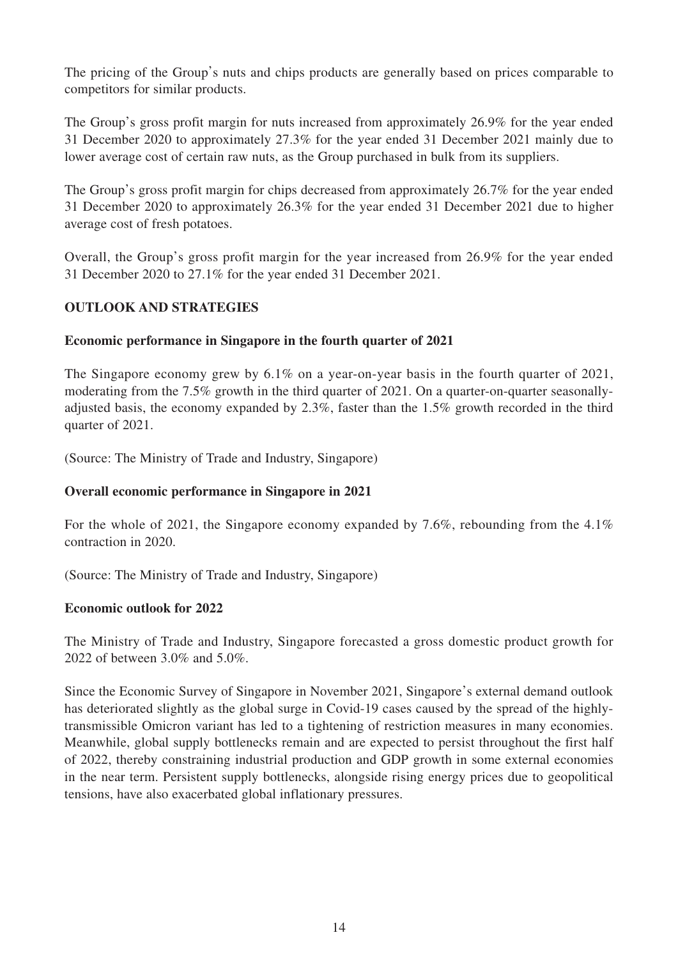The pricing of the Group's nuts and chips products are generally based on prices comparable to competitors for similar products.

The Group's gross profit margin for nuts increased from approximately 26.9% for the year ended 31 December 2020 to approximately 27.3% for the year ended 31 December 2021 mainly due to lower average cost of certain raw nuts, as the Group purchased in bulk from its suppliers.

The Group's gross profit margin for chips decreased from approximately 26.7% for the year ended 31 December 2020 to approximately 26.3% for the year ended 31 December 2021 due to higher average cost of fresh potatoes.

Overall, the Group's gross profit margin for the year increased from 26.9% for the year ended 31 December 2020 to 27.1% for the year ended 31 December 2021.

## **OUTLOOK AND STRATEGIES**

## **Economic performance in Singapore in the fourth quarter of 2021**

The Singapore economy grew by 6.1% on a year-on-year basis in the fourth quarter of 2021, moderating from the 7.5% growth in the third quarter of 2021. On a quarter-on-quarter seasonallyadjusted basis, the economy expanded by 2.3%, faster than the 1.5% growth recorded in the third quarter of 2021.

(Source: The Ministry of Trade and Industry, Singapore)

# **Overall economic performance in Singapore in 2021**

For the whole of 2021, the Singapore economy expanded by 7.6%, rebounding from the 4.1% contraction in 2020.

(Source: The Ministry of Trade and Industry, Singapore)

### **Economic outlook for 2022**

The Ministry of Trade and Industry, Singapore forecasted a gross domestic product growth for 2022 of between 3.0% and 5.0%.

Since the Economic Survey of Singapore in November 2021, Singapore's external demand outlook has deteriorated slightly as the global surge in Covid-19 cases caused by the spread of the highlytransmissible Omicron variant has led to a tightening of restriction measures in many economies. Meanwhile, global supply bottlenecks remain and are expected to persist throughout the first half of 2022, thereby constraining industrial production and GDP growth in some external economies in the near term. Persistent supply bottlenecks, alongside rising energy prices due to geopolitical tensions, have also exacerbated global inflationary pressures.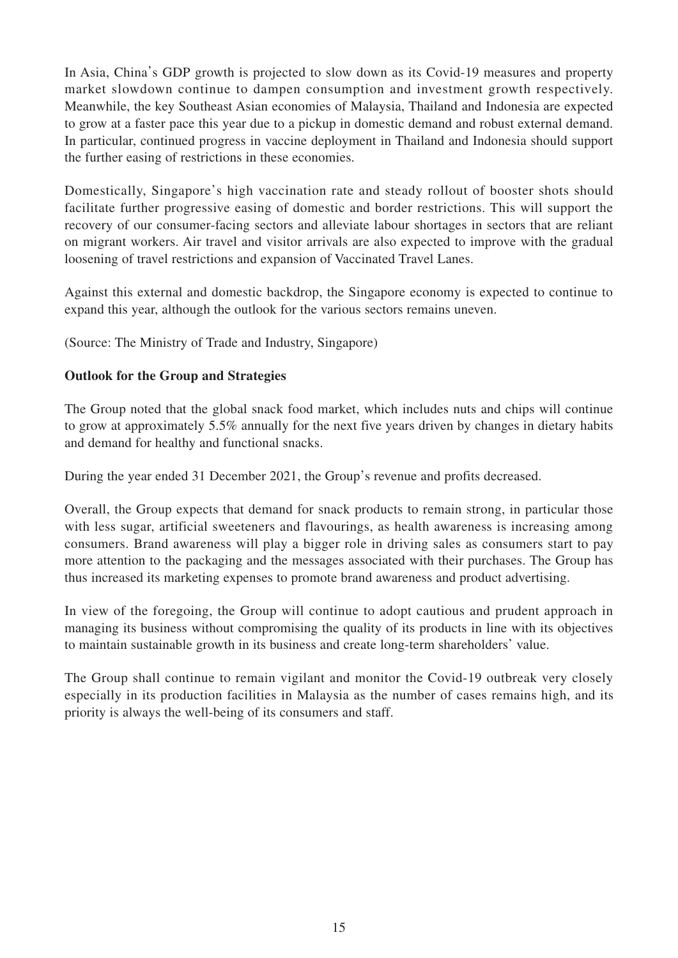In Asia, China's GDP growth is projected to slow down as its Covid-19 measures and property market slowdown continue to dampen consumption and investment growth respectively. Meanwhile, the key Southeast Asian economies of Malaysia, Thailand and Indonesia are expected to grow at a faster pace this year due to a pickup in domestic demand and robust external demand. In particular, continued progress in vaccine deployment in Thailand and Indonesia should support the further easing of restrictions in these economies.

Domestically, Singapore's high vaccination rate and steady rollout of booster shots should facilitate further progressive easing of domestic and border restrictions. This will support the recovery of our consumer-facing sectors and alleviate labour shortages in sectors that are reliant on migrant workers. Air travel and visitor arrivals are also expected to improve with the gradual loosening of travel restrictions and expansion of Vaccinated Travel Lanes.

Against this external and domestic backdrop, the Singapore economy is expected to continue to expand this year, although the outlook for the various sectors remains uneven.

(Source: The Ministry of Trade and Industry, Singapore)

# **Outlook for the Group and Strategies**

The Group noted that the global snack food market, which includes nuts and chips will continue to grow at approximately 5.5% annually for the next five years driven by changes in dietary habits and demand for healthy and functional snacks.

During the year ended 31 December 2021, the Group's revenue and profits decreased.

Overall, the Group expects that demand for snack products to remain strong, in particular those with less sugar, artificial sweeteners and flavourings, as health awareness is increasing among consumers. Brand awareness will play a bigger role in driving sales as consumers start to pay more attention to the packaging and the messages associated with their purchases. The Group has thus increased its marketing expenses to promote brand awareness and product advertising.

In view of the foregoing, the Group will continue to adopt cautious and prudent approach in managing its business without compromising the quality of its products in line with its objectives to maintain sustainable growth in its business and create long-term shareholders' value.

The Group shall continue to remain vigilant and monitor the Covid-19 outbreak very closely especially in its production facilities in Malaysia as the number of cases remains high, and its priority is always the well-being of its consumers and staff.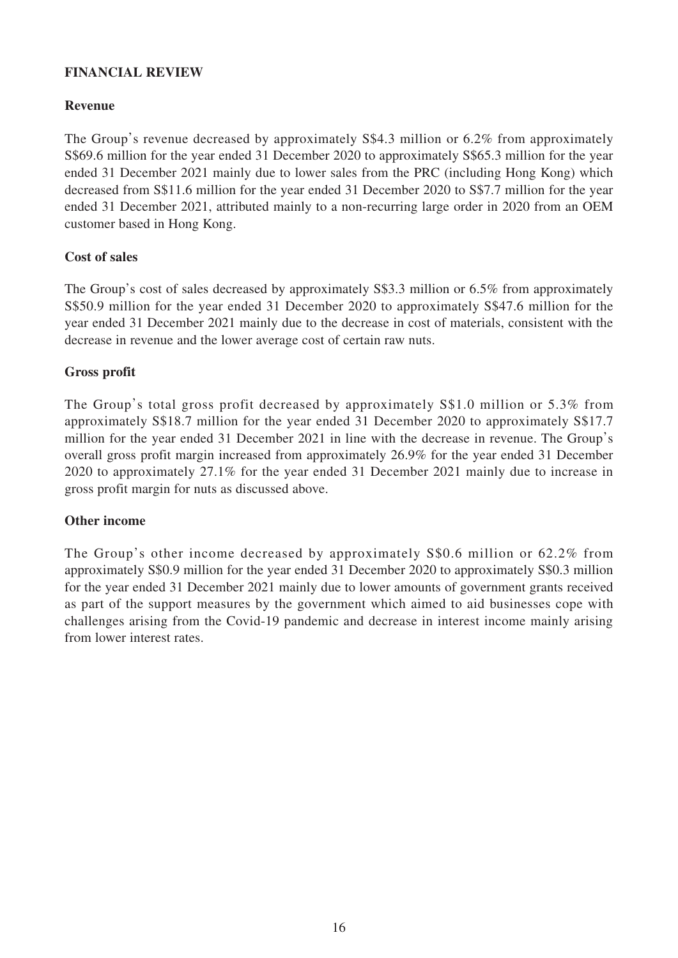### **FINANCIAL REVIEW**

#### **Revenue**

The Group's revenue decreased by approximately S\$4.3 million or 6.2% from approximately S\$69.6 million for the year ended 31 December 2020 to approximately S\$65.3 million for the year ended 31 December 2021 mainly due to lower sales from the PRC (including Hong Kong) which decreased from S\$11.6 million for the year ended 31 December 2020 to S\$7.7 million for the year ended 31 December 2021, attributed mainly to a non-recurring large order in 2020 from an OEM customer based in Hong Kong.

### **Cost of sales**

The Group's cost of sales decreased by approximately S\$3.3 million or 6.5% from approximately S\$50.9 million for the year ended 31 December 2020 to approximately S\$47.6 million for the year ended 31 December 2021 mainly due to the decrease in cost of materials, consistent with the decrease in revenue and the lower average cost of certain raw nuts.

#### **Gross profit**

The Group's total gross profit decreased by approximately S\$1.0 million or 5.3% from approximately S\$18.7 million for the year ended 31 December 2020 to approximately S\$17.7 million for the year ended 31 December 2021 in line with the decrease in revenue. The Group's overall gross profit margin increased from approximately 26.9% for the year ended 31 December 2020 to approximately 27.1% for the year ended 31 December 2021 mainly due to increase in gross profit margin for nuts as discussed above.

### **Other income**

The Group's other income decreased by approximately S\$0.6 million or 62.2% from approximately S\$0.9 million for the year ended 31 December 2020 to approximately S\$0.3 million for the year ended 31 December 2021 mainly due to lower amounts of government grants received as part of the support measures by the government which aimed to aid businesses cope with challenges arising from the Covid-19 pandemic and decrease in interest income mainly arising from lower interest rates.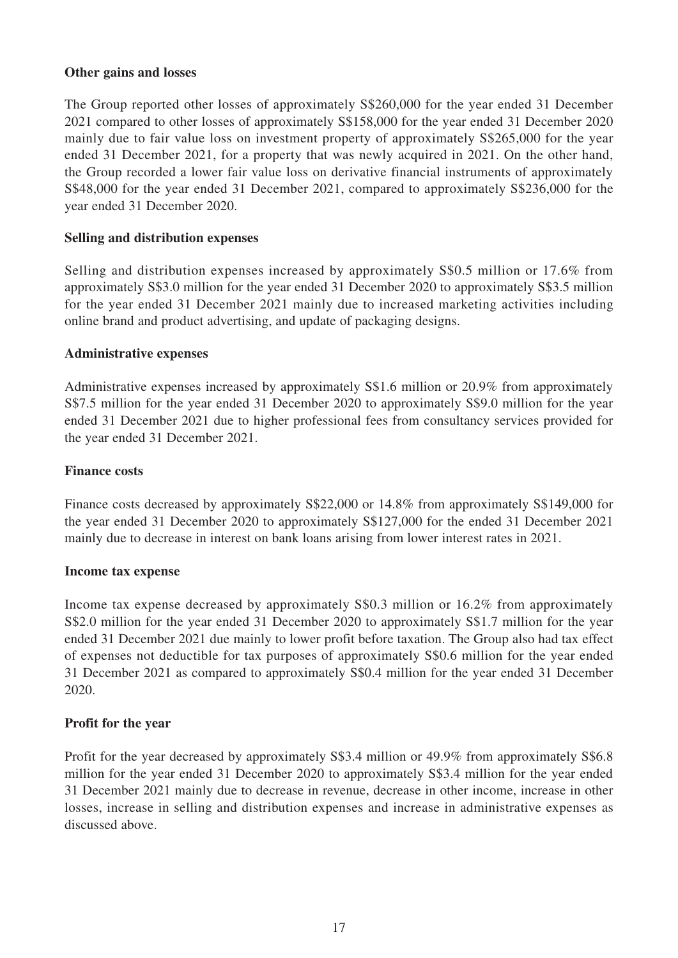#### **Other gains and losses**

The Group reported other losses of approximately S\$260,000 for the year ended 31 December 2021 compared to other losses of approximately S\$158,000 for the year ended 31 December 2020 mainly due to fair value loss on investment property of approximately S\$265,000 for the year ended 31 December 2021, for a property that was newly acquired in 2021. On the other hand, the Group recorded a lower fair value loss on derivative financial instruments of approximately S\$48,000 for the year ended 31 December 2021, compared to approximately S\$236,000 for the year ended 31 December 2020.

#### **Selling and distribution expenses**

Selling and distribution expenses increased by approximately S\$0.5 million or 17.6% from approximately S\$3.0 million for the year ended 31 December 2020 to approximately S\$3.5 million for the year ended 31 December 2021 mainly due to increased marketing activities including online brand and product advertising, and update of packaging designs.

#### **Administrative expenses**

Administrative expenses increased by approximately S\$1.6 million or 20.9% from approximately S\$7.5 million for the year ended 31 December 2020 to approximately S\$9.0 million for the year ended 31 December 2021 due to higher professional fees from consultancy services provided for the year ended 31 December 2021.

#### **Finance costs**

Finance costs decreased by approximately S\$22,000 or 14.8% from approximately S\$149,000 for the year ended 31 December 2020 to approximately S\$127,000 for the ended 31 December 2021 mainly due to decrease in interest on bank loans arising from lower interest rates in 2021.

#### **Income tax expense**

Income tax expense decreased by approximately S\$0.3 million or 16.2% from approximately S\$2.0 million for the year ended 31 December 2020 to approximately S\$1.7 million for the year ended 31 December 2021 due mainly to lower profit before taxation. The Group also had tax effect of expenses not deductible for tax purposes of approximately S\$0.6 million for the year ended 31 December 2021 as compared to approximately S\$0.4 million for the year ended 31 December 2020.

#### **Profit for the year**

Profit for the year decreased by approximately S\$3.4 million or 49.9% from approximately S\$6.8 million for the year ended 31 December 2020 to approximately S\$3.4 million for the year ended 31 December 2021 mainly due to decrease in revenue, decrease in other income, increase in other losses, increase in selling and distribution expenses and increase in administrative expenses as discussed above.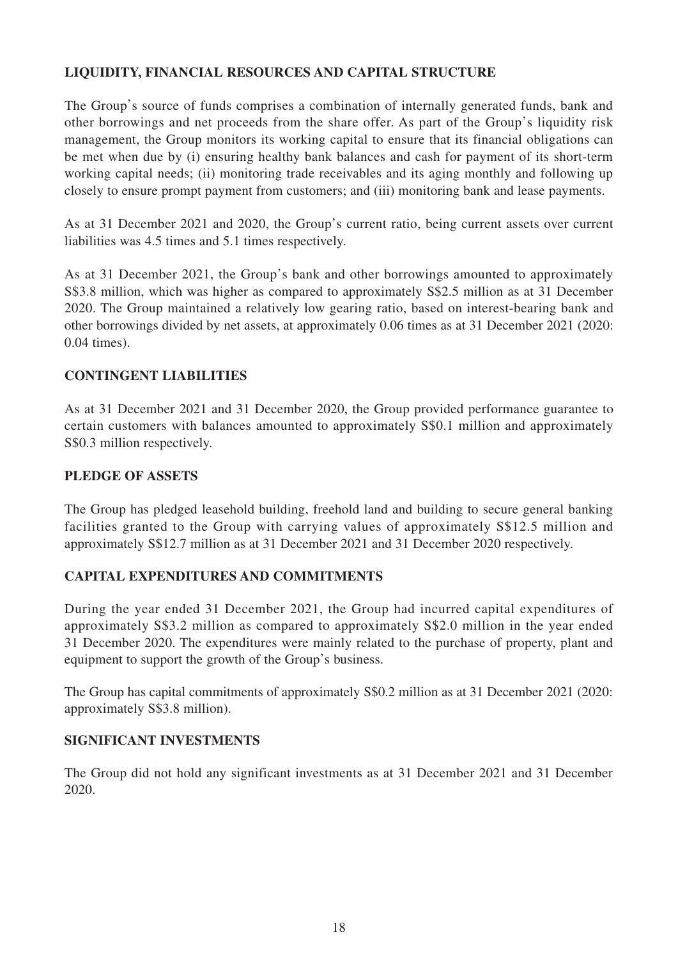# **LIQUIDITY, FINANCIAL RESOURCES AND CAPITAL STRUCTURE**

The Group's source of funds comprises a combination of internally generated funds, bank and other borrowings and net proceeds from the share offer. As part of the Group's liquidity risk management, the Group monitors its working capital to ensure that its financial obligations can be met when due by (i) ensuring healthy bank balances and cash for payment of its short-term working capital needs; (ii) monitoring trade receivables and its aging monthly and following up closely to ensure prompt payment from customers; and (iii) monitoring bank and lease payments.

As at 31 December 2021 and 2020, the Group's current ratio, being current assets over current liabilities was 4.5 times and 5.1 times respectively.

As at 31 December 2021, the Group's bank and other borrowings amounted to approximately S\$3.8 million, which was higher as compared to approximately S\$2.5 million as at 31 December 2020. The Group maintained a relatively low gearing ratio, based on interest-bearing bank and other borrowings divided by net assets, at approximately 0.06 times as at 31 December 2021 (2020: 0.04 times).

## **CONTINGENT LIABILITIES**

As at 31 December 2021 and 31 December 2020, the Group provided performance guarantee to certain customers with balances amounted to approximately S\$0.1 million and approximately S\$0.3 million respectively.

#### **PLEDGE OF ASSETS**

The Group has pledged leasehold building, freehold land and building to secure general banking facilities granted to the Group with carrying values of approximately S\$12.5 million and approximately S\$12.7 million as at 31 December 2021 and 31 December 2020 respectively.

### **CAPITAL EXPENDITURES AND COMMITMENTS**

During the year ended 31 December 2021, the Group had incurred capital expenditures of approximately S\$3.2 million as compared to approximately S\$2.0 million in the year ended 31 December 2020. The expenditures were mainly related to the purchase of property, plant and equipment to support the growth of the Group's business.

The Group has capital commitments of approximately S\$0.2 million as at 31 December 2021 (2020: approximately S\$3.8 million).

### **SIGNIFICANT INVESTMENTS**

The Group did not hold any significant investments as at 31 December 2021 and 31 December 2020.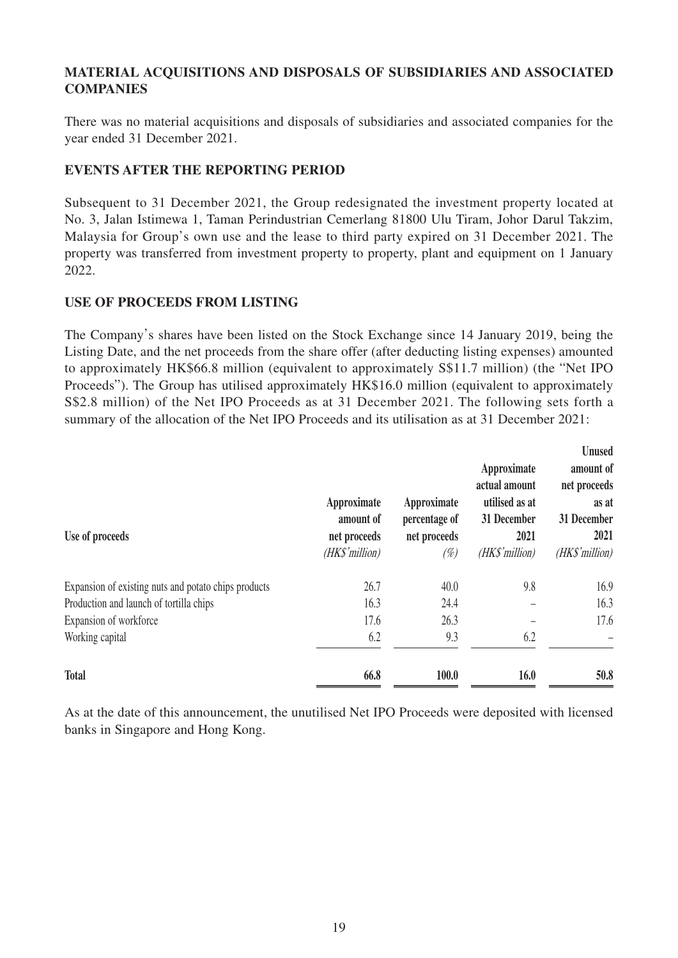## **MATERIAL ACQUISITIONS AND DISPOSALS OF SUBSIDIARIES AND ASSOCIATED COMPANIES**

There was no material acquisitions and disposals of subsidiaries and associated companies for the year ended 31 December 2021.

### **EVENTS AFTER THE REPORTING PERIOD**

Subsequent to 31 December 2021, the Group redesignated the investment property located at No. 3, Jalan Istimewa 1, Taman Perindustrian Cemerlang 81800 Ulu Tiram, Johor Darul Takzim, Malaysia for Group's own use and the lease to third party expired on 31 December 2021. The property was transferred from investment property to property, plant and equipment on 1 January 2022.

## **USE OF PROCEEDS FROM LISTING**

The Company's shares have been listed on the Stock Exchange since 14 January 2019, being the Listing Date, and the net proceeds from the share offer (after deducting listing expenses) amounted to approximately HK\$66.8 million (equivalent to approximately S\$11.7 million) (the "Net IPO Proceeds"). The Group has utilised approximately HK\$16.0 million (equivalent to approximately S\$2.8 million) of the Net IPO Proceeds as at 31 December 2021. The following sets forth a summary of the allocation of the Net IPO Proceeds and its utilisation as at 31 December 2021:

| Use of proceeds                                      | Approximate<br>amount of<br>net proceeds<br>(HK\$'million) | Approximate<br>percentage of<br>net proceeds<br>(%) | Approximate<br>actual amount<br>utilised as at<br>31 December<br>2021<br>(HK\$'million) | <b>Unused</b><br>amount of<br>net proceeds<br>as at<br>31 December<br>2021<br>(HK\$'million) |
|------------------------------------------------------|------------------------------------------------------------|-----------------------------------------------------|-----------------------------------------------------------------------------------------|----------------------------------------------------------------------------------------------|
| Expansion of existing nuts and potato chips products | 26.7                                                       | 40.0                                                | 9.8                                                                                     | 16.9                                                                                         |
| Production and launch of tortilla chips              | 16.3                                                       | 24.4                                                |                                                                                         | 16.3                                                                                         |
| Expansion of workforce                               | 17.6                                                       | 26.3                                                |                                                                                         | 17.6                                                                                         |
| Working capital                                      | 6.2                                                        | 9.3                                                 | 6.2                                                                                     |                                                                                              |
| <b>Total</b>                                         | 66.8                                                       | 100.0                                               | 16.0                                                                                    | 50.8                                                                                         |

As at the date of this announcement, the unutilised Net IPO Proceeds were deposited with licensed banks in Singapore and Hong Kong.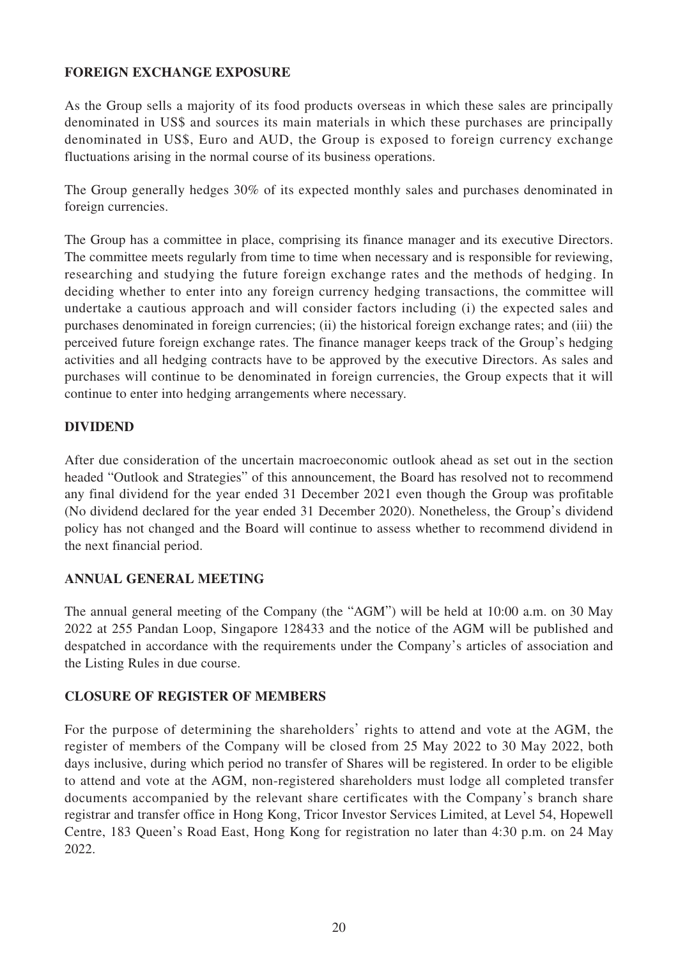### **FOREIGN EXCHANGE EXPOSURE**

As the Group sells a majority of its food products overseas in which these sales are principally denominated in US\$ and sources its main materials in which these purchases are principally denominated in US\$, Euro and AUD, the Group is exposed to foreign currency exchange fluctuations arising in the normal course of its business operations.

The Group generally hedges 30% of its expected monthly sales and purchases denominated in foreign currencies.

The Group has a committee in place, comprising its finance manager and its executive Directors. The committee meets regularly from time to time when necessary and is responsible for reviewing, researching and studying the future foreign exchange rates and the methods of hedging. In deciding whether to enter into any foreign currency hedging transactions, the committee will undertake a cautious approach and will consider factors including (i) the expected sales and purchases denominated in foreign currencies; (ii) the historical foreign exchange rates; and (iii) the perceived future foreign exchange rates. The finance manager keeps track of the Group's hedging activities and all hedging contracts have to be approved by the executive Directors. As sales and purchases will continue to be denominated in foreign currencies, the Group expects that it will continue to enter into hedging arrangements where necessary.

## **DIVIDEND**

After due consideration of the uncertain macroeconomic outlook ahead as set out in the section headed "Outlook and Strategies" of this announcement, the Board has resolved not to recommend any final dividend for the year ended 31 December 2021 even though the Group was profitable (No dividend declared for the year ended 31 December 2020). Nonetheless, the Group's dividend policy has not changed and the Board will continue to assess whether to recommend dividend in the next financial period.

# **ANNUAL GENERAL MEETING**

The annual general meeting of the Company (the "AGM") will be held at 10:00 a.m. on 30 May 2022 at 255 Pandan Loop, Singapore 128433 and the notice of the AGM will be published and despatched in accordance with the requirements under the Company's articles of association and the Listing Rules in due course.

### **CLOSURE OF REGISTER OF MEMBERS**

For the purpose of determining the shareholders' rights to attend and vote at the AGM, the register of members of the Company will be closed from 25 May 2022 to 30 May 2022, both days inclusive, during which period no transfer of Shares will be registered. In order to be eligible to attend and vote at the AGM, non-registered shareholders must lodge all completed transfer documents accompanied by the relevant share certificates with the Company's branch share registrar and transfer office in Hong Kong, Tricor Investor Services Limited, at Level 54, Hopewell Centre, 183 Queen's Road East, Hong Kong for registration no later than 4:30 p.m. on 24 May 2022.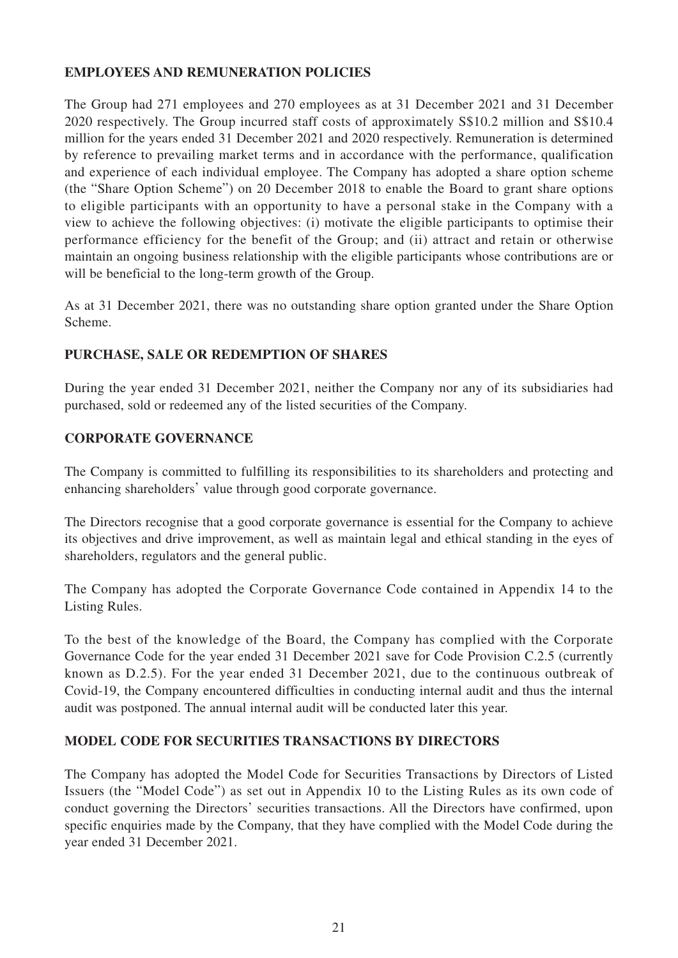### **EMPLOYEES AND REMUNERATION POLICIES**

The Group had 271 employees and 270 employees as at 31 December 2021 and 31 December 2020 respectively. The Group incurred staff costs of approximately S\$10.2 million and S\$10.4 million for the years ended 31 December 2021 and 2020 respectively. Remuneration is determined by reference to prevailing market terms and in accordance with the performance, qualification and experience of each individual employee. The Company has adopted a share option scheme (the "Share Option Scheme") on 20 December 2018 to enable the Board to grant share options to eligible participants with an opportunity to have a personal stake in the Company with a view to achieve the following objectives: (i) motivate the eligible participants to optimise their performance efficiency for the benefit of the Group; and (ii) attract and retain or otherwise maintain an ongoing business relationship with the eligible participants whose contributions are or will be beneficial to the long-term growth of the Group.

As at 31 December 2021, there was no outstanding share option granted under the Share Option Scheme.

# **PURCHASE, SALE OR REDEMPTION OF SHARES**

During the year ended 31 December 2021, neither the Company nor any of its subsidiaries had purchased, sold or redeemed any of the listed securities of the Company.

## **CORPORATE GOVERNANCE**

The Company is committed to fulfilling its responsibilities to its shareholders and protecting and enhancing shareholders' value through good corporate governance.

The Directors recognise that a good corporate governance is essential for the Company to achieve its objectives and drive improvement, as well as maintain legal and ethical standing in the eyes of shareholders, regulators and the general public.

The Company has adopted the Corporate Governance Code contained in Appendix 14 to the Listing Rules.

To the best of the knowledge of the Board, the Company has complied with the Corporate Governance Code for the year ended 31 December 2021 save for Code Provision C.2.5 (currently known as D.2.5). For the year ended 31 December 2021, due to the continuous outbreak of Covid-19, the Company encountered difficulties in conducting internal audit and thus the internal audit was postponed. The annual internal audit will be conducted later this year.

### **MODEL CODE FOR SECURITIES TRANSACTIONS BY DIRECTORS**

The Company has adopted the Model Code for Securities Transactions by Directors of Listed Issuers (the "Model Code") as set out in Appendix 10 to the Listing Rules as its own code of conduct governing the Directors' securities transactions. All the Directors have confirmed, upon specific enquiries made by the Company, that they have complied with the Model Code during the year ended 31 December 2021.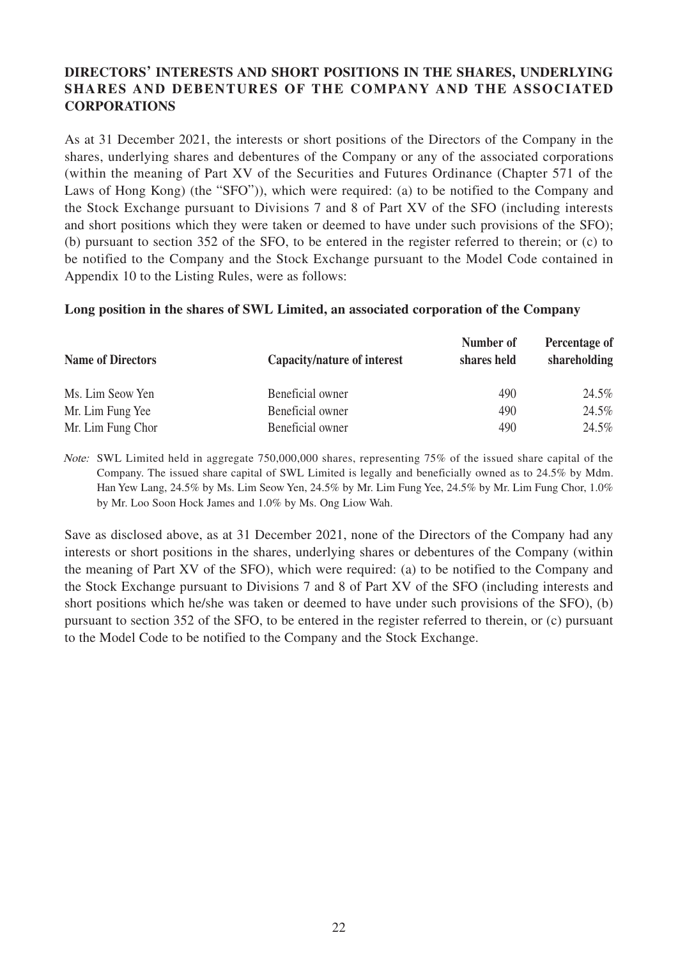# **DIRECTORS' INTERESTS AND SHORT POSITIONS IN THE SHARES, UNDERLYING SHARES AND DEBENTURES OF THE COMPANY AND THE ASSOCIATED CORPORATIONS**

As at 31 December 2021, the interests or short positions of the Directors of the Company in the shares, underlying shares and debentures of the Company or any of the associated corporations (within the meaning of Part XV of the Securities and Futures Ordinance (Chapter 571 of the Laws of Hong Kong) (the "SFO")), which were required: (a) to be notified to the Company and the Stock Exchange pursuant to Divisions 7 and 8 of Part XV of the SFO (including interests and short positions which they were taken or deemed to have under such provisions of the SFO); (b) pursuant to section 352 of the SFO, to be entered in the register referred to therein; or (c) to be notified to the Company and the Stock Exchange pursuant to the Model Code contained in Appendix 10 to the Listing Rules, were as follows:

#### **Long position in the shares of SWL Limited, an associated corporation of the Company**

| <b>Name of Directors</b> | Capacity/nature of interest | Number of<br>shares held | Percentage of<br>shareholding |
|--------------------------|-----------------------------|--------------------------|-------------------------------|
| Ms. Lim Seow Yen         | Beneficial owner            | 490                      | 24.5%                         |
| Mr. Lim Fung Yee         | Beneficial owner            | 490                      | 24.5%                         |
| Mr. Lim Fung Chor        | Beneficial owner            | 490                      | 24.5%                         |

Note: SWL Limited held in aggregate 750,000,000 shares, representing 75% of the issued share capital of the Company. The issued share capital of SWL Limited is legally and beneficially owned as to 24.5% by Mdm. Han Yew Lang, 24.5% by Ms. Lim Seow Yen, 24.5% by Mr. Lim Fung Yee, 24.5% by Mr. Lim Fung Chor, 1.0% by Mr. Loo Soon Hock James and 1.0% by Ms. Ong Liow Wah.

Save as disclosed above, as at 31 December 2021, none of the Directors of the Company had any interests or short positions in the shares, underlying shares or debentures of the Company (within the meaning of Part XV of the SFO), which were required: (a) to be notified to the Company and the Stock Exchange pursuant to Divisions 7 and 8 of Part XV of the SFO (including interests and short positions which he/she was taken or deemed to have under such provisions of the SFO), (b) pursuant to section 352 of the SFO, to be entered in the register referred to therein, or (c) pursuant to the Model Code to be notified to the Company and the Stock Exchange.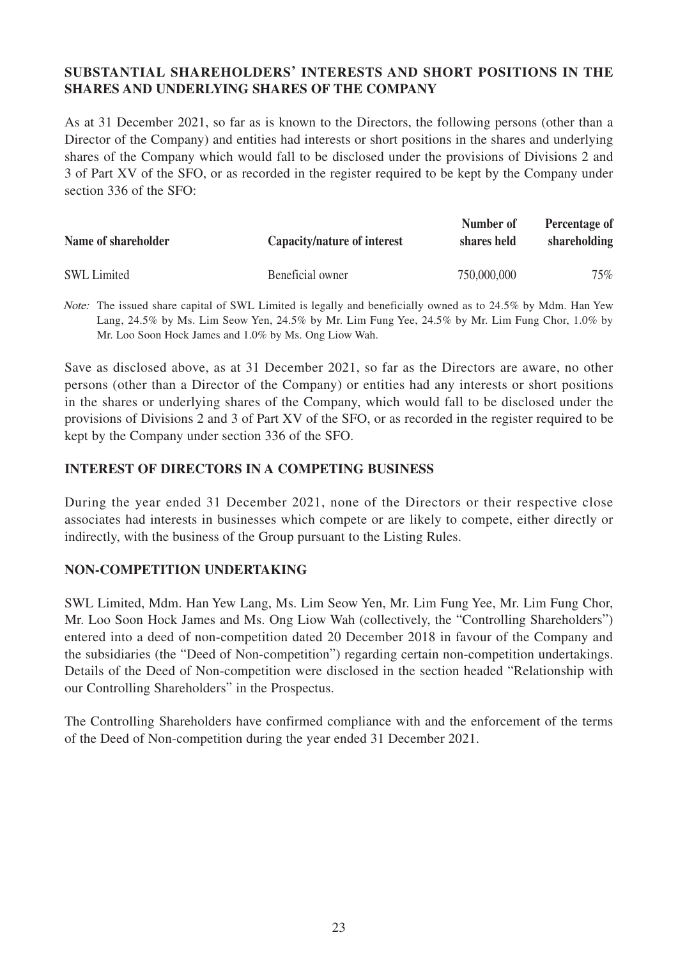### **SUBSTANTIAL SHAREHOLDERS' INTERESTS AND SHORT POSITIONS IN THE SHARES AND UNDERLYING SHARES OF THE COMPANY**

As at 31 December 2021, so far as is known to the Directors, the following persons (other than a Director of the Company) and entities had interests or short positions in the shares and underlying shares of the Company which would fall to be disclosed under the provisions of Divisions 2 and 3 of Part XV of the SFO, or as recorded in the register required to be kept by the Company under section 336 of the SFO:

| Name of shareholder | Capacity/nature of interest | Number of<br>shares held | Percentage of<br>shareholding |
|---------------------|-----------------------------|--------------------------|-------------------------------|
| <b>SWL</b> Limited  | Beneficial owner            | 750,000,000              | 75%                           |

Note: The issued share capital of SWL Limited is legally and beneficially owned as to 24.5% by Mdm. Han Yew Lang, 24.5% by Ms. Lim Seow Yen, 24.5% by Mr. Lim Fung Yee, 24.5% by Mr. Lim Fung Chor, 1.0% by Mr. Loo Soon Hock James and 1.0% by Ms. Ong Liow Wah.

Save as disclosed above, as at 31 December 2021, so far as the Directors are aware, no other persons (other than a Director of the Company) or entities had any interests or short positions in the shares or underlying shares of the Company, which would fall to be disclosed under the provisions of Divisions 2 and 3 of Part XV of the SFO, or as recorded in the register required to be kept by the Company under section 336 of the SFO.

## **INTEREST OF DIRECTORS IN A COMPETING BUSINESS**

During the year ended 31 December 2021, none of the Directors or their respective close associates had interests in businesses which compete or are likely to compete, either directly or indirectly, with the business of the Group pursuant to the Listing Rules.

### **NON-COMPETITION UNDERTAKING**

SWL Limited, Mdm. Han Yew Lang, Ms. Lim Seow Yen, Mr. Lim Fung Yee, Mr. Lim Fung Chor, Mr. Loo Soon Hock James and Ms. Ong Liow Wah (collectively, the "Controlling Shareholders") entered into a deed of non-competition dated 20 December 2018 in favour of the Company and the subsidiaries (the "Deed of Non-competition") regarding certain non-competition undertakings. Details of the Deed of Non-competition were disclosed in the section headed "Relationship with our Controlling Shareholders" in the Prospectus.

The Controlling Shareholders have confirmed compliance with and the enforcement of the terms of the Deed of Non-competition during the year ended 31 December 2021.